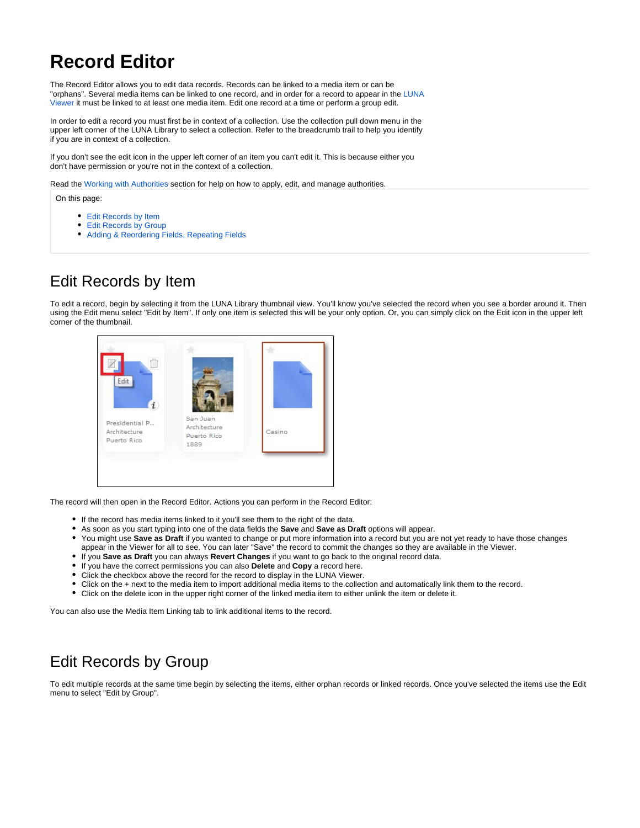# **Record Editor**

The Record Editor allows you to edit data records. Records can be linked to a media item or can be "orphans". Several media items can be linked to one record, and in order for a record to appear in the [LUNA](https://doc.lunaimaging.com/display/V71D/LUNA+Viewer)  [Viewer](https://doc.lunaimaging.com/display/V71D/LUNA+Viewer) it must be linked to at least one media item. Edit one record at a time or perform a group edit.

In order to edit a record you must first be in context of a collection. Use the collection pull down menu in the upper left corner of the LUNA Library to select a collection. Refer to the breadcrumb trail to help you identify if you are in context of a collection.

If you don't see the edit icon in the upper left corner of an item you can't edit it. This is because either you don't have permission or you're not in the context of a collection.

Read the [Working with Authorities](https://doc.lunaimaging.com/display/V71D/Working+with+Authorities) section for help on how to apply, edit, and manage authorities.

On this page:

- [Edit Records by Item](#page-0-0)
- [Edit Records by Group](#page-0-1)
- [Adding & Reordering Fields, Repeating Fields](#page-1-0)

## <span id="page-0-0"></span>Edit Records by Item

To edit a record, begin by selecting it from the LUNA Library thumbnail view. You'll know you've selected the record when you see a border around it. Then using the Edit menu select "Edit by Item". If only one item is selected this will be your only option. Or, you can simply click on the Edit icon in the upper left corner of the thumbnail.



The record will then open in the Record Editor. Actions you can perform in the Record Editor:

- If the record has media items linked to it you'll see them to the right of the data.
- As soon as you start typing into one of the data fields the **Save** and **Save as Draft** options will appear.
- You might use **Save as Draft** if you wanted to change or put more information into a record but you are not yet ready to have those changes appear in the Viewer for all to see. You can later "Save" the record to commit the changes so they are available in the Viewer.
- If you **Save as Draft** you can always **Revert Changes** if you want to go back to the original record data.
- If you have the correct permissions you can also **Delete** and **Copy** a record here.
- Click the checkbox above the record for the record to display in the LUNA Viewer.
- Click on the + next to the media item to import additional media items to the collection and automatically link them to the record.
- Click on the delete icon in the upper right corner of the linked media item to either unlink the item or delete it.

You can also use the Media Item Linking tab to link additional items to the record.

### <span id="page-0-1"></span>Edit Records by Group

To edit multiple records at the same time begin by selecting the items, either orphan records or linked records. Once you've selected the items use the Edit menu to select "Edit by Group".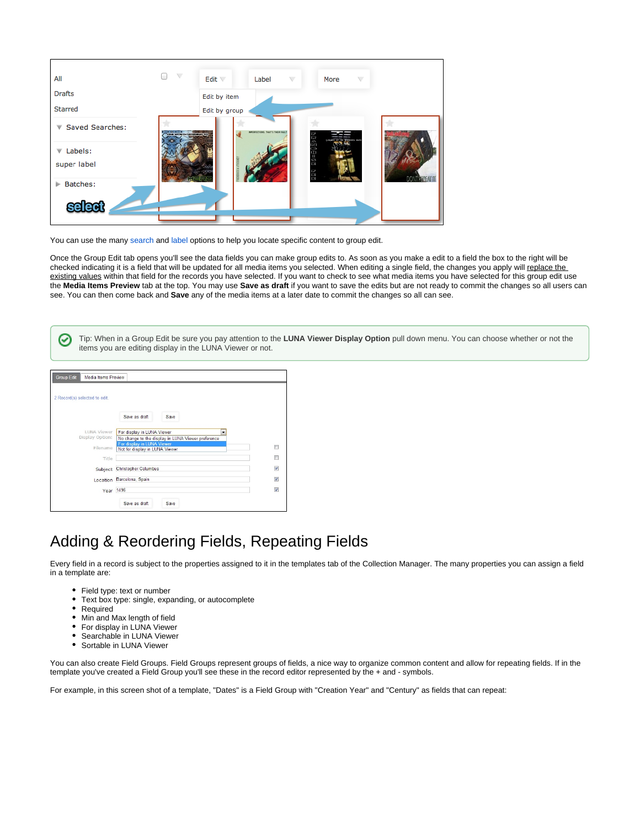

You can use the many [search](https://doc.lunaimaging.com/display/V71D/Searching+in+the+LUNA+Library) and [label o](https://doc.lunaimaging.com/pages/viewpage.action?pageId=2949981)ptions to help you locate specific content to group edit.

Once the Group Edit tab opens you'll see the data fields you can make group edits to. As soon as you make a edit to a field the box to the right will be checked indicating it is a field that will be updated for all media items you selected. When editing a single field, the changes you apply will replace the existing values within that field for the records you have selected. If you want to check to see what media items you have selected for this group edit use the **Media Items Preview** tab at the top. You may use **Save as draft** if you want to save the edits but are not ready to commit the changes so all users can see. You can then come back and **Save** any of the media items at a later date to commit the changes so all can see.

Tip: When in a Group Edit be sure you pay attention to the **LUNA Viewer Display Option** pull down menu. You can choose whether or not the C items you are editing display in the LUNA Viewer or not.

| Media Items Preview<br><b>Group Edit</b> |                                                                                  |                          |  |                                        |  |  |
|------------------------------------------|----------------------------------------------------------------------------------|--------------------------|--|----------------------------------------|--|--|
| 2 Record(s) selected to edit.            |                                                                                  |                          |  |                                        |  |  |
|                                          | Save as draft                                                                    | Save                     |  |                                        |  |  |
| LUNA Viewer<br>Display Option:           | For display in LUNA Viewer<br>No change to the display in LUNA Viewer preference | $\overline{\phantom{a}}$ |  |                                        |  |  |
| Filename                                 | For display in LUNA Viewer<br>Not for display in LUNA Viewer                     | ⋒                        |  |                                        |  |  |
| Title                                    |                                                                                  |                          |  | n                                      |  |  |
| Subject                                  | Christopher Columbus                                                             |                          |  | $\sqrt{2}$<br>$\overline{\mathcal{A}}$ |  |  |
|                                          | Location Barcelona, Spain<br>Year 1496                                           |                          |  |                                        |  |  |
|                                          |                                                                                  |                          |  | $\sqrt{2}$                             |  |  |
|                                          | Save as draft                                                                    | Save                     |  |                                        |  |  |

### <span id="page-1-0"></span>Adding & Reordering Fields, Repeating Fields

Every field in a record is subject to the properties assigned to it in the templates tab of the Collection Manager. The many properties you can assign a field in a template are:

- Field type: text or number
- Text box type: single, expanding, or autocomplete
- Required
- Min and Max length of field
- For display in LUNA Viewer
- Searchable in LUNA Viewer  $\bullet$
- $\bullet$ Sortable in LUNA Viewer

You can also create Field Groups. Field Groups represent groups of fields, a nice way to organize common content and allow for repeating fields. If in the template you've created a Field Group you'll see these in the record editor represented by the + and - symbols.

For example, in this screen shot of a template, "Dates" is a Field Group with "Creation Year" and "Century" as fields that can repeat: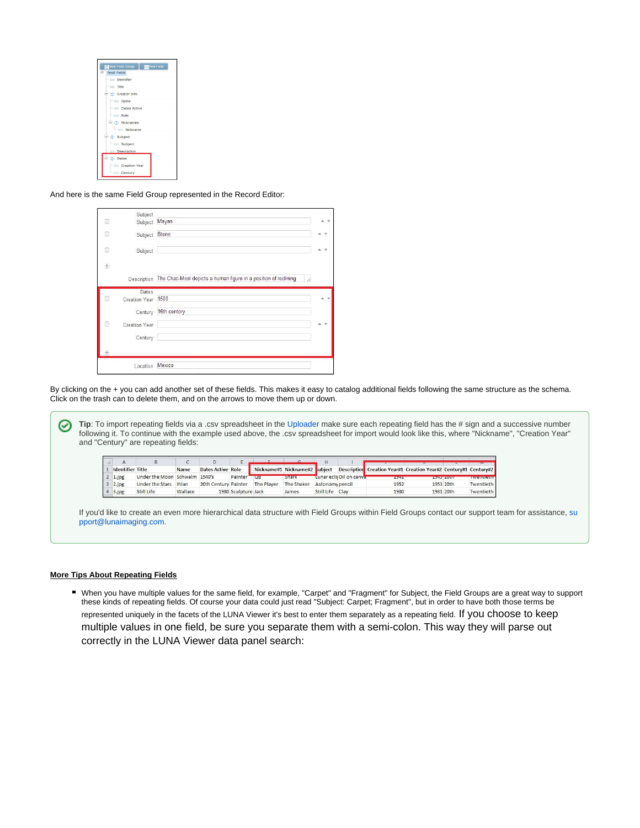| New Field<br>New Field Group      |  |
|-----------------------------------|--|
| Nest Fields                       |  |
| Identifier                        |  |
| $=$ Title                         |  |
| creator Info                      |  |
| $=$ $\Box$ Name                   |  |
| Dates Active                      |  |
| $=$ $=$ Role                      |  |
| <b>E C Nicknames</b>              |  |
| $\overline{\phantom{a}}$ Nickname |  |
| Subject                           |  |
| $\overline{\phantom{a}}$ Subject  |  |
| Description                       |  |
| $\Rightarrow$ $\Rightarrow$ Dates |  |
| Creation Year                     |  |
| century                           |  |

And here is the same Field Group represented in the Record Editor:

| ü     | Subject<br>Subject          | Mayan                                                           |                              |
|-------|-----------------------------|-----------------------------------------------------------------|------------------------------|
| û     | Subject Stone               |                                                                 |                              |
| 宿     | Subject                     |                                                                 |                              |
| $\pm$ |                             |                                                                 |                              |
|       | Description                 | The Chac-Mool depicts a human figure in a position of reclining |                              |
| ū     | Dates<br>Creation Year 1500 |                                                                 | $\triangle$ $\forall$        |
|       |                             | Century 16th centory                                            |                              |
| Ō     | Creation Year               |                                                                 | ۵<br>$\overline{\mathbf{v}}$ |
|       | Century                     |                                                                 |                              |
| $+$   |                             |                                                                 |                              |
|       | Location                    | Mexico                                                          |                              |

By clicking on the + you can add another set of these fields. This makes it easy to catalog additional fields following the same structure as the schema. Click on the trash can to delete them, and on the arrows to move them up or down.

**Tip**: To import repeating fields via a .csv spreadsheet in the [Uploader](https://doc.lunaimaging.com/pages/viewpage.action?pageId=2950004) make sure each repeating field has the # sign and a successive number ✅ following it. To continue with the example used above, the .csv spreadsheet for import would look like this, where "Nickname", "Creation Year" and "Century" are repeating fields:

| <b>Identifier Title</b> |                               | <b>Name</b> | Dates Active Role    |                     |            | Nickname#1 Nickname#2 subject |            |                         | Description Creation Year#1 Creation Year#2 Century#1 Century#2 |           |                  |                     |
|-------------------------|-------------------------------|-------------|----------------------|---------------------|------------|-------------------------------|------------|-------------------------|-----------------------------------------------------------------|-----------|------------------|---------------------|
| 1.jpg                   | Under the Moon Schwalm 1940's |             |                      | Painter'            | <b>UB</b>  | <b>Snark</b>                  |            | Lunar ecli Oil on canva | 10911                                                           |           | <b>TEXTS AND</b> | <b>INVESTIGACIE</b> |
| 2.jpg                   | Under the Stars Ihlan         |             | 20th Century Painter |                     | The Player | The Shaker Astonomy pencil    |            |                         | 1952                                                            | 1953 20th |                  | Twentieth           |
| 3.jpg                   | Still Life                    | Wallace     |                      | 1980 Sculpture Jack |            | James                         | Still Life | Clay                    | 1980                                                            | 1981 20th |                  | Twentieth           |

If you'd like to create an even more hierarchical data structure with Field Groups within Field Groups contact our support team for assistance, [su](mailto:support@lunaimaging.com.) [pport@lunaimaging.com.](mailto:support@lunaimaging.com.)

#### **More Tips About Repeating Fields**

When you have multiple values for the same field, for example, "Carpet" and "Fragment" for Subject, the Field Groups are a great way to support these kinds of repeating fields. Of course your data could just read "Subject: Carpet; Fragment", but in order to have both those terms be represented uniquely in the facets of the LUNA Viewer it's best to enter them separately as a repeating field. If you choose to keep multiple values in one field, be sure you separate them with a semi-colon. This way they will parse out correctly in the LUNA Viewer data panel search: